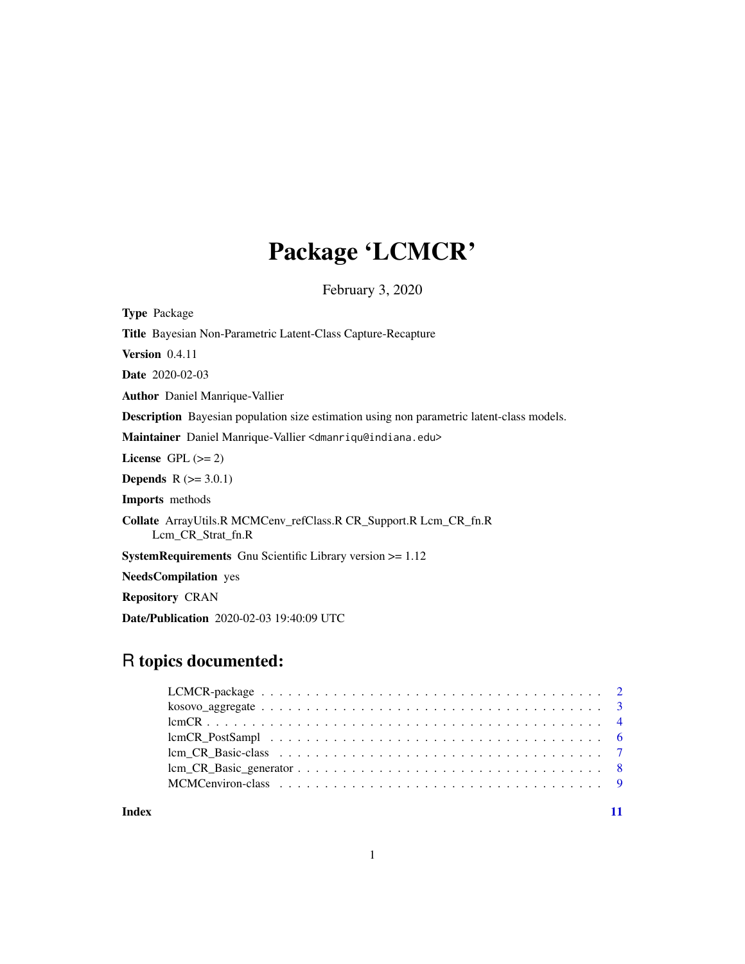# Package 'LCMCR'

February 3, 2020

<span id="page-0-0"></span>

| <b>Type Package</b>                                                                              |
|--------------------------------------------------------------------------------------------------|
| <b>Title</b> Bayesian Non-Parametric Latent-Class Capture-Recapture                              |
| Version $0.4.11$                                                                                 |
| <b>Date</b> 2020-02-03                                                                           |
| <b>Author</b> Daniel Manrique-Vallier                                                            |
| <b>Description</b> Bayesian population size estimation using non parametric latent-class models. |
| Maintainer Daniel Manrique-Vallier <dmanriqu@indiana.edu></dmanriqu@indiana.edu>                 |
| License GPL $(>= 2)$                                                                             |
| <b>Depends</b> $R (= 3.0.1)$                                                                     |
| <b>Imports</b> methods                                                                           |
| <b>Collate</b> ArrayUtils.R MCMCenv_refClass.R CR_Support.R Lcm_CR_fn.R<br>Lem CR Strat fn.R     |
| <b>SystemRequirements</b> Gnu Scientific Library version $\geq 1.12$                             |
| <b>NeedsCompilation</b> yes                                                                      |
| <b>Repository CRAN</b>                                                                           |
| <b>Date/Publication</b> 2020-02-03 19:40:09 UTC                                                  |

# R topics documented:

| $\&0$ $\&0$ $\&0$ $\&0$ $\&0$ $\&0$ $\&0$ $\&0$ $\&0$ $\&0$ $\&0$ $\&0$ $\&0$ $\&0$ $\&0$ $\&0$ $\&0$ $\&0$ $\&0$ $\&0$ $\&0$ $\&0$ $\&0$ $\&0$ $\&0$ $\&0$ $\&0$ $\&0$ $\&0$ $\&0$ $\&0$ $\&0$ $\&0$ $\&0$ $\&0$ $\&0$ $\&0$ |  |
|-------------------------------------------------------------------------------------------------------------------------------------------------------------------------------------------------------------------------------|--|
|                                                                                                                                                                                                                               |  |
|                                                                                                                                                                                                                               |  |
|                                                                                                                                                                                                                               |  |
| $\text{ lcm\_CR\_Basic\_generator} \dots \dots \dots \dots \dots \dots \dots \dots \dots \dots \dots \dots \dots \dots$                                                                                                       |  |
|                                                                                                                                                                                                                               |  |
|                                                                                                                                                                                                                               |  |

**Index** [11](#page-10-0)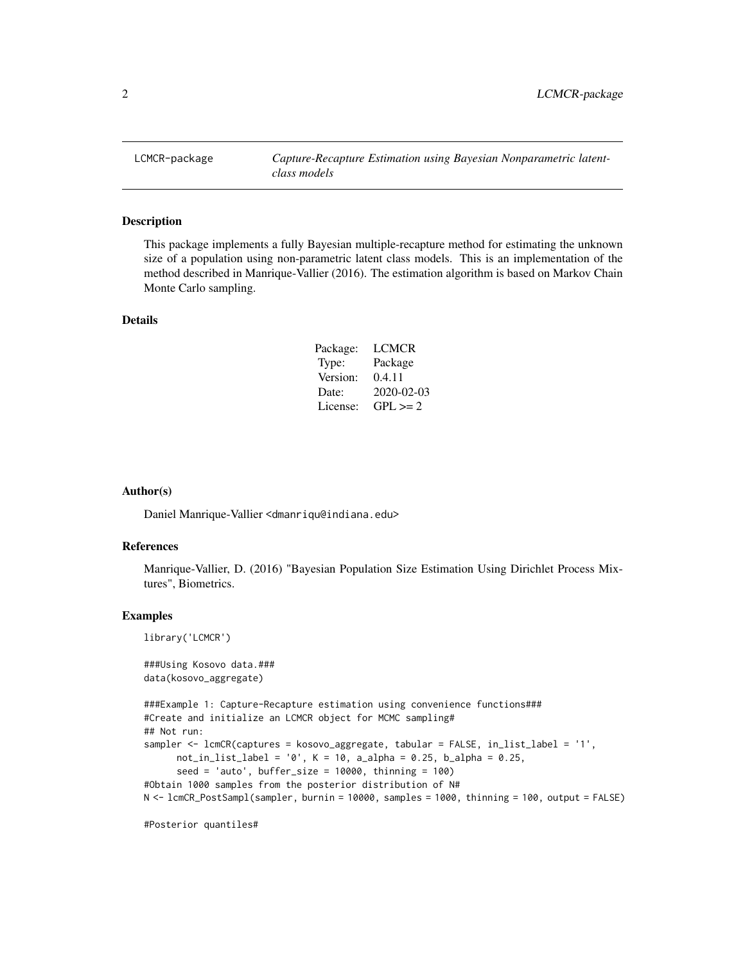<span id="page-1-0"></span>

#### Description

This package implements a fully Bayesian multiple-recapture method for estimating the unknown size of a population using non-parametric latent class models. This is an implementation of the method described in Manrique-Vallier (2016). The estimation algorithm is based on Markov Chain Monte Carlo sampling.

# Details

| Package: | <b>LCMCR</b> |
|----------|--------------|
| Type:    | Package      |
| Version: | 0.4.11       |
| Date:    | 2020-02-03   |
| License: | $GPI \geq 2$ |

#### Author(s)

Daniel Manrique-Vallier <dmanriqu@indiana.edu>

#### References

Manrique-Vallier, D. (2016) "Bayesian Population Size Estimation Using Dirichlet Process Mixtures", Biometrics.

#### Examples

library('LCMCR')

###Using Kosovo data.### data(kosovo\_aggregate)

```
###Example 1: Capture-Recapture estimation using convenience functions###
#Create and initialize an LCMCR object for MCMC sampling#
## Not run:
sampler <- lcmCR(captures = kosovo_aggregate, tabular = FALSE, in_list_label = '1',
     not_in_list_label = '0', K = 10, a_alpha = 0.25, b_alpha = 0.25,
      seed = 'auto', buffer_size = 10000, thinning = 100)
#Obtain 1000 samples from the posterior distribution of N#
N <- lcmCR_PostSampl(sampler, burnin = 10000, samples = 1000, thinning = 100, output = FALSE)
```
#Posterior quantiles#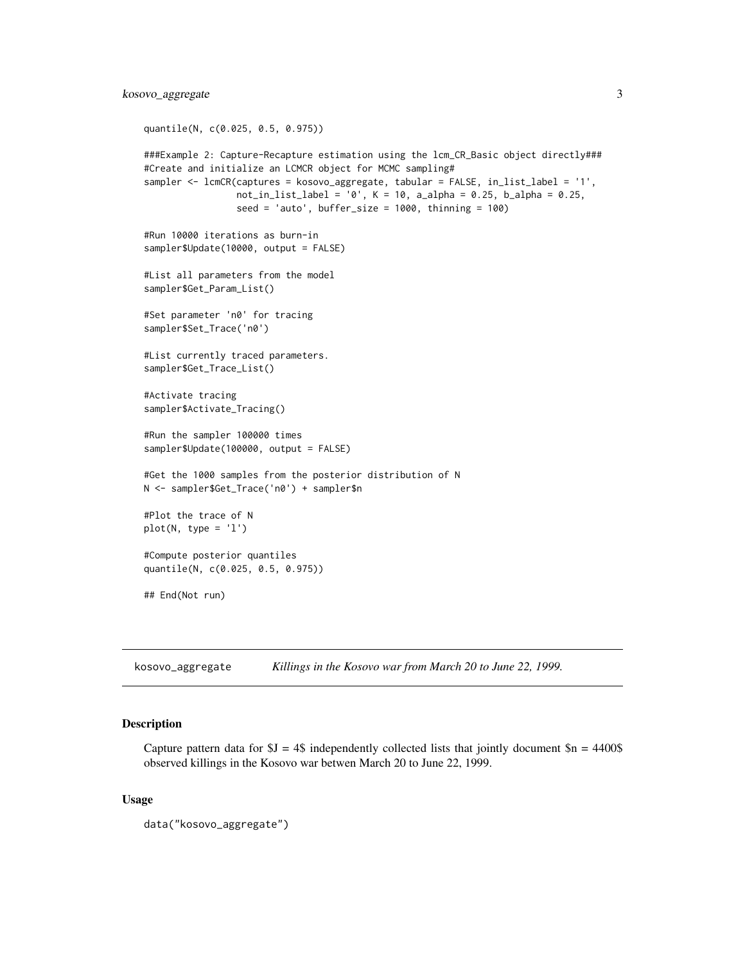```
quantile(N, c(0.025, 0.5, 0.975))
###Example 2: Capture-Recapture estimation using the lcm_CR_Basic object directly###
#Create and initialize an LCMCR object for MCMC sampling#
sampler <- lcmCR(captures = kosovo_aggregate, tabular = FALSE, in_list_label = '1',
                 not_in_list_label = '0', K = 10, a_alpha = 0.25, b_alpha = 0.25,
                 seed = 'auto', buffer_size = 1000, thinning = 100)
#Run 10000 iterations as burn-in
sampler$Update(10000, output = FALSE)
#List all parameters from the model
sampler$Get_Param_List()
#Set parameter 'n0' for tracing
sampler$Set_Trace('n0')
#List currently traced parameters.
sampler$Get_Trace_List()
#Activate tracing
sampler$Activate_Tracing()
#Run the sampler 100000 times
sampler$Update(100000, output = FALSE)
#Get the 1000 samples from the posterior distribution of N
N <- sampler$Get_Trace('n0') + sampler$n
#Plot the trace of N
plot(N, type = 'l')
#Compute posterior quantiles
quantile(N, c(0.025, 0.5, 0.975))
## End(Not run)
```
kosovo\_aggregate *Killings in the Kosovo war from March 20 to June 22, 1999.*

# Description

Capture pattern data for  $$J = 4$$  independently collected lists that jointly document  $$n = 4400$$ observed killings in the Kosovo war betwen March 20 to June 22, 1999.

#### Usage

```
data("kosovo_aggregate")
```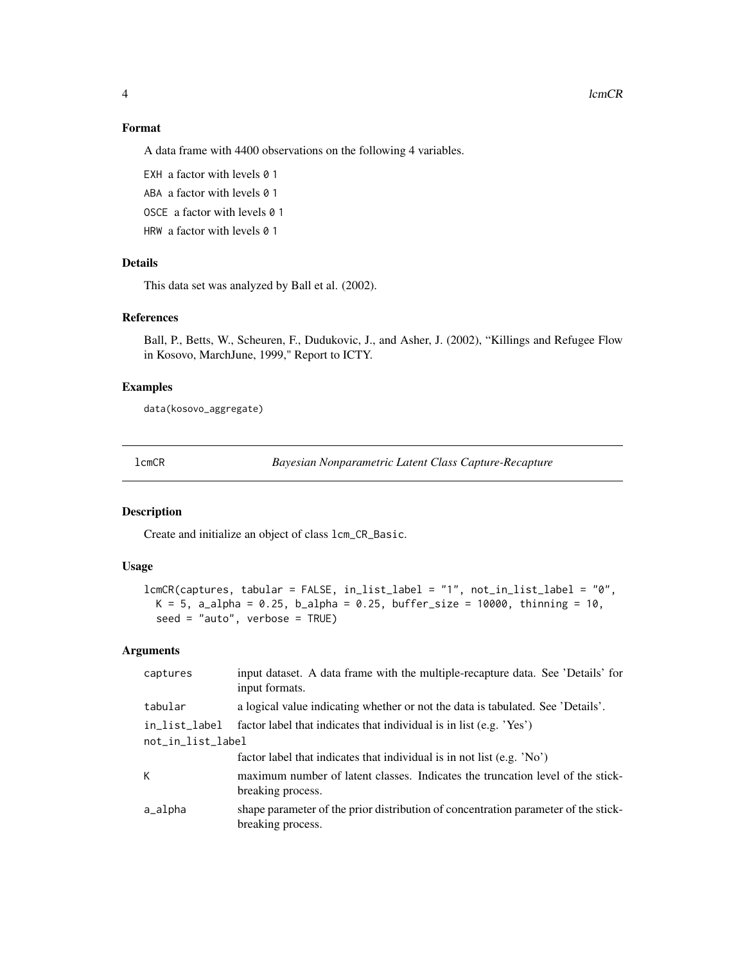# Format

A data frame with 4400 observations on the following 4 variables.

EXH a factor with levels 0 1

ABA a factor with levels 0 1

OSCE a factor with levels 0 1

HRW a factor with levels 0 1

# Details

This data set was analyzed by Ball et al. (2002).

#### References

Ball, P., Betts, W., Scheuren, F., Dudukovic, J., and Asher, J. (2002), "Killings and Refugee Flow in Kosovo, MarchJune, 1999," Report to ICTY.

### Examples

data(kosovo\_aggregate)

<span id="page-3-1"></span>lcmCR *Bayesian Nonparametric Latent Class Capture-Recapture*

# Description

Create and initialize an object of class lcm\_CR\_Basic.

# Usage

```
lcmCR(captures, tabular = FALSE, in_list_label = "1", not_in_list_label = "0",
 K = 5, a_alpha = 0.25, b_alpha = 0.25, buffer_size = 10000, thinning = 10,
 seed = "auto", verbose = TRUE)
```
# Arguments

| captures          | input dataset. A data frame with the multiple-recapture data. See 'Details' for<br>input formats.       |  |  |
|-------------------|---------------------------------------------------------------------------------------------------------|--|--|
| tabular           | a logical value indicating whether or not the data is tabulated. See 'Details'.                         |  |  |
| in_list_label     | factor label that indicates that individual is in list (e.g. 'Yes')                                     |  |  |
| not_in_list_label |                                                                                                         |  |  |
|                   | factor label that indicates that individual is in not list (e.g. $'No'$ )                               |  |  |
| К                 | maximum number of latent classes. Indicates the truncation level of the stick-<br>breaking process.     |  |  |
| a_alpha           | shape parameter of the prior distribution of concentration parameter of the stick-<br>breaking process. |  |  |
|                   |                                                                                                         |  |  |

<span id="page-3-0"></span>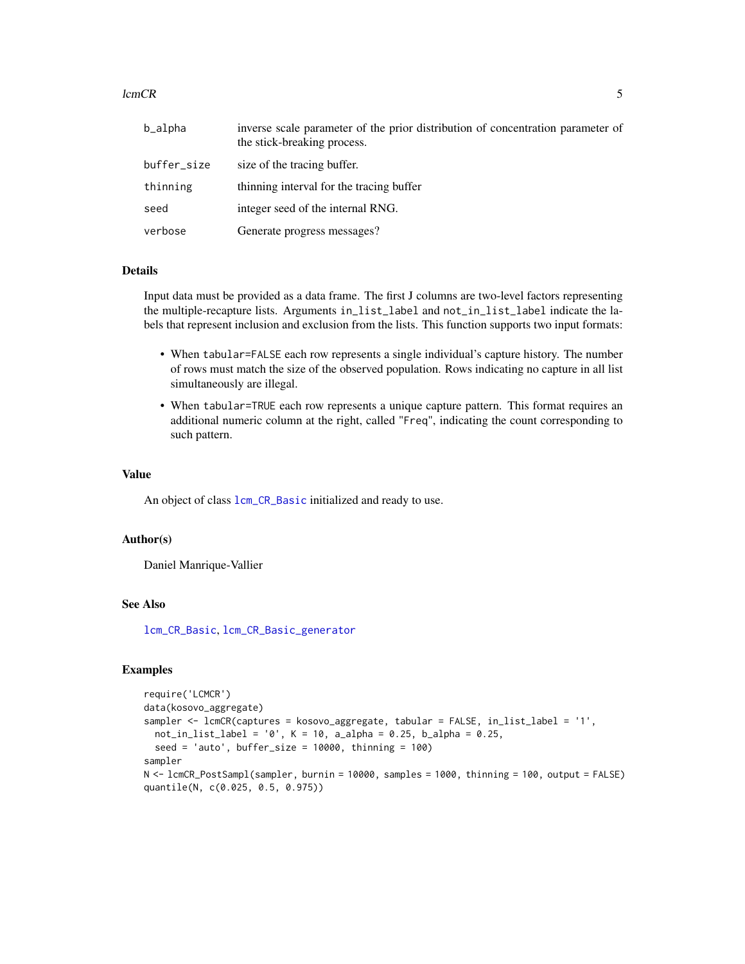#### <span id="page-4-0"></span> $lcmCR$  5

| b_alpha     | inverse scale parameter of the prior distribution of concentration parameter of<br>the stick-breaking process. |
|-------------|----------------------------------------------------------------------------------------------------------------|
| buffer_size | size of the tracing buffer.                                                                                    |
| thinning    | thinning interval for the tracing buffer                                                                       |
| seed        | integer seed of the internal RNG.                                                                              |
| verbose     | Generate progress messages?                                                                                    |

# Details

Input data must be provided as a data frame. The first J columns are two-level factors representing the multiple-recapture lists. Arguments in\_list\_label and not\_in\_list\_label indicate the labels that represent inclusion and exclusion from the lists. This function supports two input formats:

- When tabular=FALSE each row represents a single individual's capture history. The number of rows must match the size of the observed population. Rows indicating no capture in all list simultaneously are illegal.
- When tabular=TRUE each row represents a unique capture pattern. This format requires an additional numeric column at the right, called "Freq", indicating the count corresponding to such pattern.

#### Value

An object of class  $lcm_CR_Basic$  initialized and ready to use.

#### Author(s)

Daniel Manrique-Vallier

#### See Also

[lcm\\_CR\\_Basic](#page-6-1), [lcm\\_CR\\_Basic\\_generator](#page-7-1)

# Examples

```
require('LCMCR')
data(kosovo_aggregate)
sampler <- lcmCR(captures = kosovo_aggregate, tabular = FALSE, in_list_label = '1',
 not_in_list_label = '0', K = 10, a_alpha = 0.25, b_alpha = 0.25,
 seed = 'auto', buffer_size = 10000, thinning = 100)
sampler
N <- lcmCR_PostSampl(sampler, burnin = 10000, samples = 1000, thinning = 100, output = FALSE)
quantile(N, c(0.025, 0.5, 0.975))
```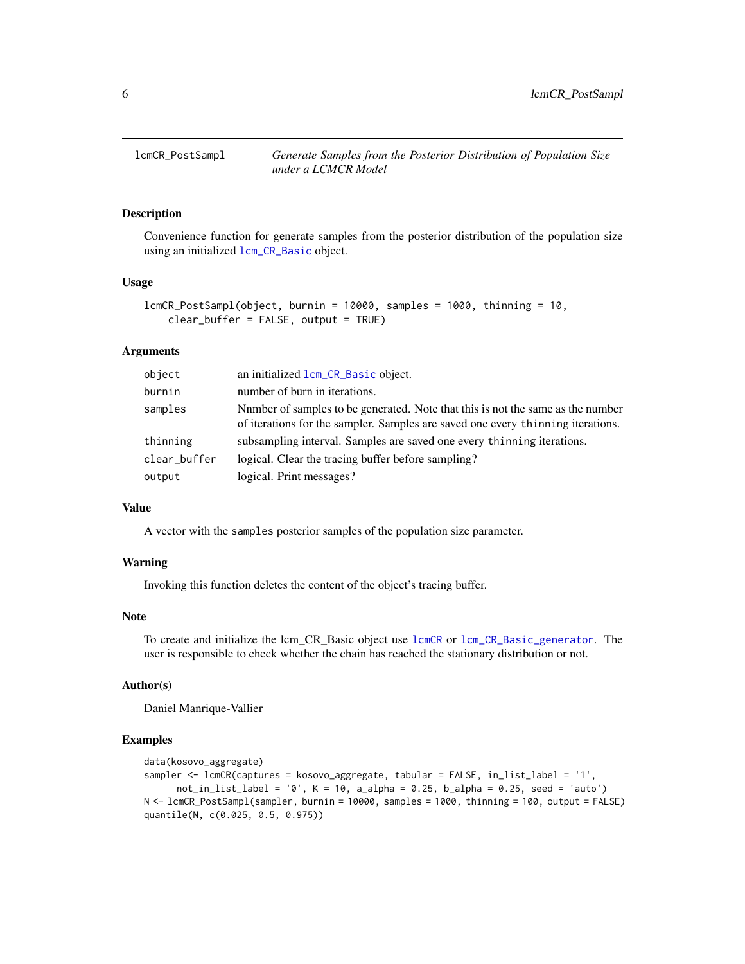<span id="page-5-0"></span>

# Description

Convenience function for generate samples from the posterior distribution of the population size using an initialized [lcm\\_CR\\_Basic](#page-6-1) object.

#### Usage

```
lcmCR_PostSampl(object, burnin = 10000, samples = 1000, thinning = 10,
   clear_buffer = FALSE, output = TRUE)
```
# Arguments

| object       | an initialized lcm_CR_Basic object.                                                                                                                                |
|--------------|--------------------------------------------------------------------------------------------------------------------------------------------------------------------|
| burnin       | number of burn in iterations.                                                                                                                                      |
| samples      | Nnmber of samples to be generated. Note that this is not the same as the number<br>of iterations for the sampler. Samples are saved one every thinning iterations. |
| thinning     | subsampling interval. Samples are saved one every thinning iterations.                                                                                             |
| clear_buffer | logical. Clear the tracing buffer before sampling?                                                                                                                 |
| output       | logical. Print messages?                                                                                                                                           |

# Value

A vector with the samples posterior samples of the population size parameter.

#### Warning

Invoking this function deletes the content of the object's tracing buffer.

#### Note

To create and initialize the lcm\_CR\_Basic object use [lcmCR](#page-3-1) or [lcm\\_CR\\_Basic\\_generator](#page-7-1). The user is responsible to check whether the chain has reached the stationary distribution or not.

#### Author(s)

Daniel Manrique-Vallier

#### Examples

```
data(kosovo_aggregate)
sampler <- lcmCR(captures = kosovo_aggregate, tabular = FALSE, in_list_label = '1',
     not_in_list\_label = '0', K = 10, a_alpha = 0.25, b_alpha = 0.25, seed = 'auto')N <- lcmCR_PostSampl(sampler, burnin = 10000, samples = 1000, thinning = 100, output = FALSE)
quantile(N, c(0.025, 0.5, 0.975))
```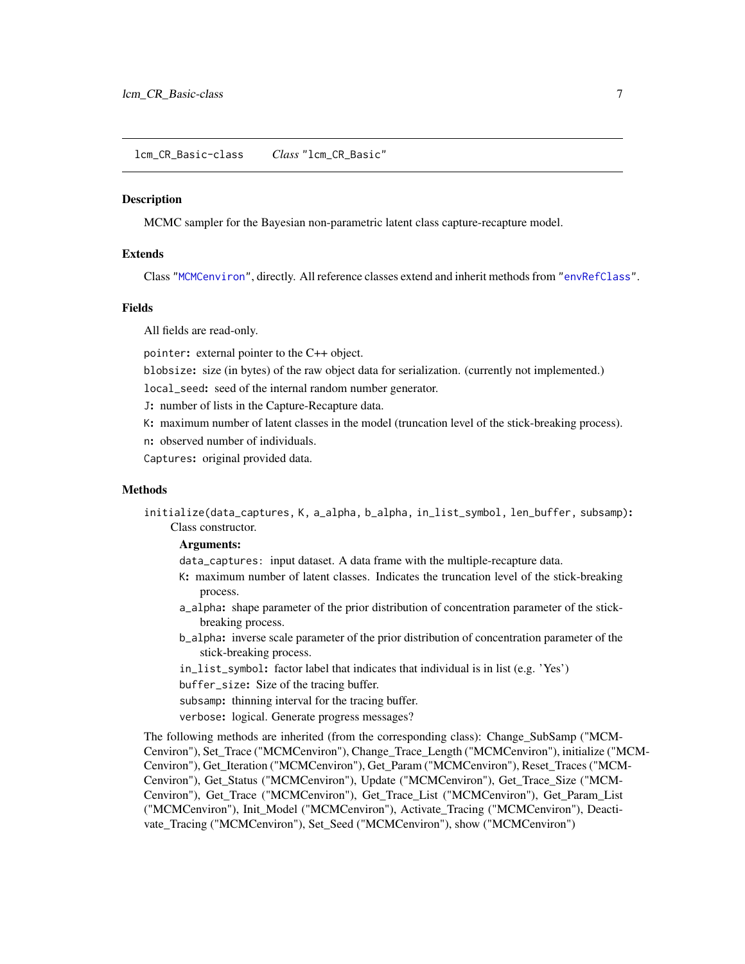<span id="page-6-2"></span><span id="page-6-0"></span>lcm\_CR\_Basic-class *Class* "lcm\_CR\_Basic"

# <span id="page-6-1"></span>**Description**

MCMC sampler for the Bayesian non-parametric latent class capture-recapture model.

#### **Extends**

Class ["MCMCenviron"](#page-8-1), directly. All reference classes extend and inherit methods from ["envRefClass"](#page-0-0).

#### Fields

All fields are read-only.

pointer: external pointer to the C++ object.

blobsize: size (in bytes) of the raw object data for serialization. (currently not implemented.)

local\_seed: seed of the internal random number generator.

J: number of lists in the Capture-Recapture data.

K: maximum number of latent classes in the model (truncation level of the stick-breaking process).

n: observed number of individuals.

Captures: original provided data.

# **Methods**

initialize(data\_captures, K, a\_alpha, b\_alpha, in\_list\_symbol, len\_buffer, subsamp): Class constructor.

#### Arguments:

data\_captures: input dataset. A data frame with the multiple-recapture data.

- K: maximum number of latent classes. Indicates the truncation level of the stick-breaking process.
- a\_alpha: shape parameter of the prior distribution of concentration parameter of the stickbreaking process.
- b\_alpha: inverse scale parameter of the prior distribution of concentration parameter of the stick-breaking process.
- in\_list\_symbol: factor label that indicates that individual is in list (e.g. 'Yes')

buffer\_size: Size of the tracing buffer.

- subsamp: thinning interval for the tracing buffer.
- verbose: logical. Generate progress messages?

The following methods are inherited (from the corresponding class): Change\_SubSamp ("MCM-Cenviron"), Set\_Trace ("MCMCenviron"), Change\_Trace\_Length ("MCMCenviron"), initialize ("MCM-Cenviron"), Get\_Iteration ("MCMCenviron"), Get\_Param ("MCMCenviron"), Reset\_Traces ("MCM-Cenviron"), Get\_Status ("MCMCenviron"), Update ("MCMCenviron"), Get\_Trace\_Size ("MCM-Cenviron"), Get\_Trace ("MCMCenviron"), Get\_Trace\_List ("MCMCenviron"), Get\_Param\_List ("MCMCenviron"), Init\_Model ("MCMCenviron"), Activate\_Tracing ("MCMCenviron"), Deactivate\_Tracing ("MCMCenviron"), Set\_Seed ("MCMCenviron"), show ("MCMCenviron")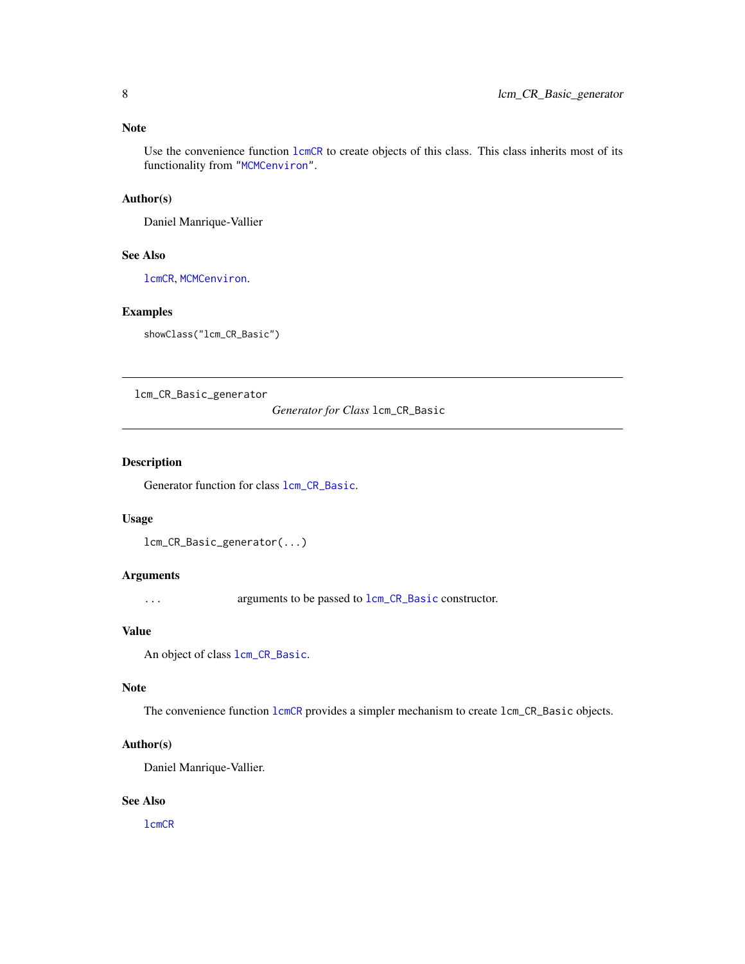### <span id="page-7-0"></span>Note

Use the convenience function  $lcmCR$  to create objects of this class. This class inherits most of its functionality from ["MCMCenviron"](#page-8-1).

#### Author(s)

Daniel Manrique-Vallier

# See Also

[lcmCR](#page-3-1), [MCMCenviron](#page-8-1).

#### Examples

showClass("lcm\_CR\_Basic")

<span id="page-7-1"></span>lcm\_CR\_Basic\_generator

*Generator for Class* lcm\_CR\_Basic

# Description

Generator function for class  $lcm_C$ CR\_Basic.

#### Usage

```
lcm_CR_Basic_generator(...)
```
# Arguments

... arguments to be passed to [lcm\\_CR\\_Basic](#page-6-2) constructor.

# Value

```
An object of class lcm_CR_Basic.
```
#### Note

The convenience function [lcmCR](#page-3-1) provides a simpler mechanism to create lcm\_CR\_Basic objects.

#### Author(s)

Daniel Manrique-Vallier.

# See Also

[lcmCR](#page-3-1)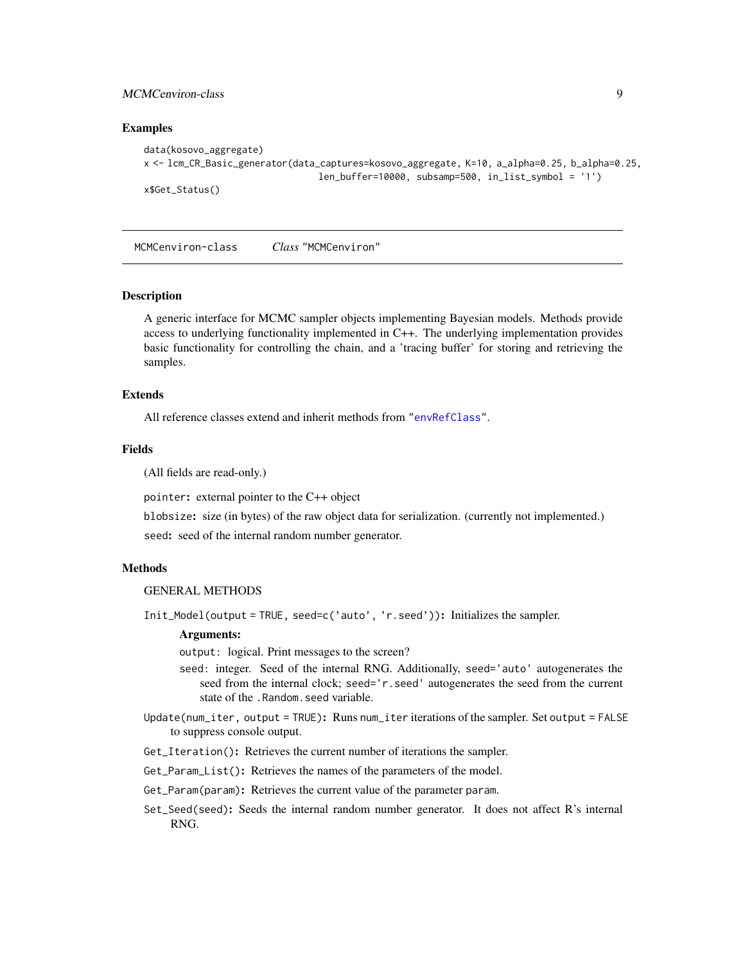# <span id="page-8-0"></span>MCMCenviron-class 9

#### Examples

```
data(kosovo_aggregate)
x <- lcm_CR_Basic_generator(data_captures=kosovo_aggregate, K=10, a_alpha=0.25, b_alpha=0.25,
                                len\_buffer=10000, subsamp=500, in\_list\_symbol = '1')x$Get_Status()
```
<span id="page-8-1"></span>MCMCenviron-class *Class* "MCMCenviron"

#### Description

A generic interface for MCMC sampler objects implementing Bayesian models. Methods provide access to underlying functionality implemented in C++. The underlying implementation provides basic functionality for controlling the chain, and a 'tracing buffer' for storing and retrieving the samples.

# Extends

All reference classes extend and inherit methods from ["envRefClass"](#page-0-0).

#### Fields

(All fields are read-only.)

pointer: external pointer to the C++ object

blobsize: size (in bytes) of the raw object data for serialization. (currently not implemented.)

seed: seed of the internal random number generator.

## Methods

GENERAL METHODS

Init\_Model(output = TRUE, seed=c('auto', 'r.seed')): Initializes the sampler.

#### Arguments:

output: logical. Print messages to the screen?

- seed: integer. Seed of the internal RNG. Additionally, seed='auto' autogenerates the seed from the internal clock; seed='r.seed' autogenerates the seed from the current state of the .Random.seed variable.
- Update(num\_iter, output = TRUE): Runs num\_iter iterations of the sampler. Set output = FALSE to suppress console output.
- Get\_Iteration(): Retrieves the current number of iterations the sampler.
- Get\_Param\_List(): Retrieves the names of the parameters of the model.
- Get\_Param(param): Retrieves the current value of the parameter param.
- Set\_Seed(seed): Seeds the internal random number generator. It does not affect R's internal RNG.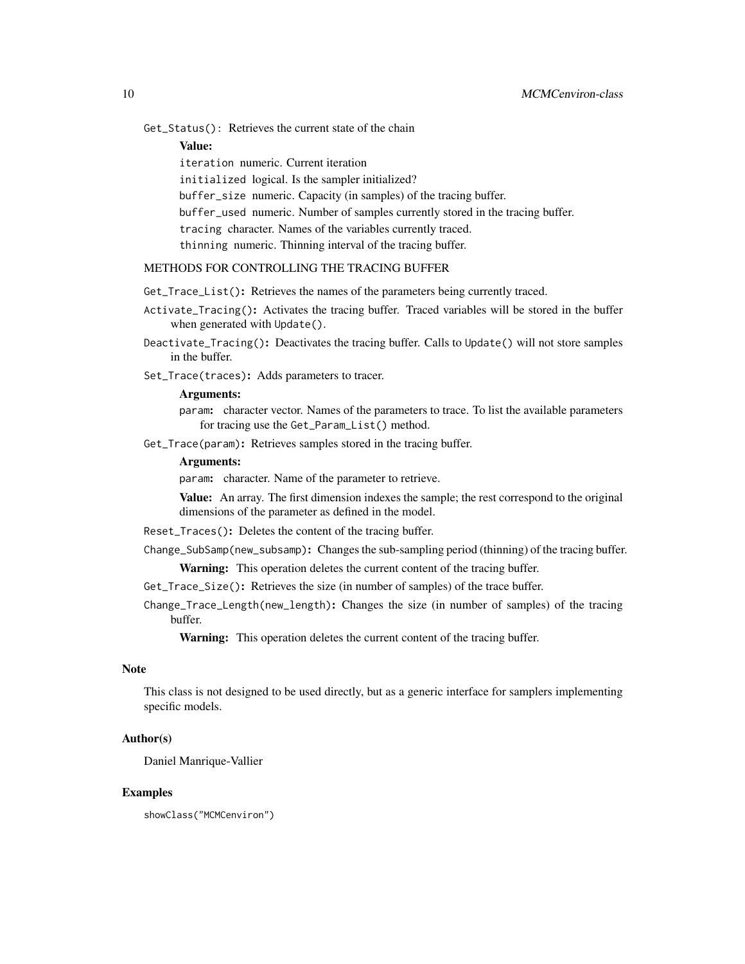Get\_Status(): Retrieves the current state of the chain

Value:

iteration numeric. Current iteration initialized logical. Is the sampler initialized? buffer\_size numeric. Capacity (in samples) of the tracing buffer. buffer\_used numeric. Number of samples currently stored in the tracing buffer. tracing character. Names of the variables currently traced. thinning numeric. Thinning interval of the tracing buffer.

# METHODS FOR CONTROLLING THE TRACING BUFFER

Get\_Trace\_List(): Retrieves the names of the parameters being currently traced.

- Activate\_Tracing(): Activates the tracing buffer. Traced variables will be stored in the buffer when generated with Update().
- Deactivate\_Tracing(): Deactivates the tracing buffer. Calls to Update() will not store samples in the buffer.
- Set\_Trace(traces): Adds parameters to tracer.

# Arguments:

param: character vector. Names of the parameters to trace. To list the available parameters for tracing use the Get\_Param\_List() method.

Get\_Trace(param): Retrieves samples stored in the tracing buffer.

#### Arguments:

param: character. Name of the parameter to retrieve.

Value: An array. The first dimension indexes the sample; the rest correspond to the original dimensions of the parameter as defined in the model.

- Reset\_Traces(): Deletes the content of the tracing buffer.
- Change\_SubSamp(new\_subsamp): Changes the sub-sampling period (thinning) of the tracing buffer.

Warning: This operation deletes the current content of the tracing buffer.

Get\_Trace\_Size(): Retrieves the size (in number of samples) of the trace buffer.

Change\_Trace\_Length(new\_length): Changes the size (in number of samples) of the tracing buffer.

Warning: This operation deletes the current content of the tracing buffer.

# **Note**

This class is not designed to be used directly, but as a generic interface for samplers implementing specific models.

#### Author(s)

Daniel Manrique-Vallier

#### Examples

showClass("MCMCenviron")